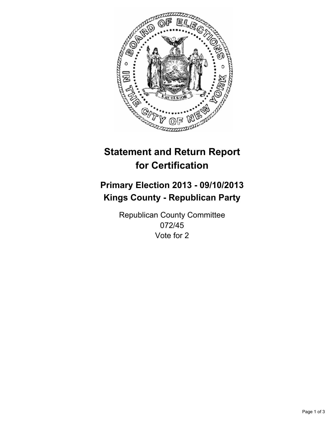

# **Statement and Return Report for Certification**

# **Primary Election 2013 - 09/10/2013 Kings County - Republican Party**

Republican County Committee 072/45 Vote for 2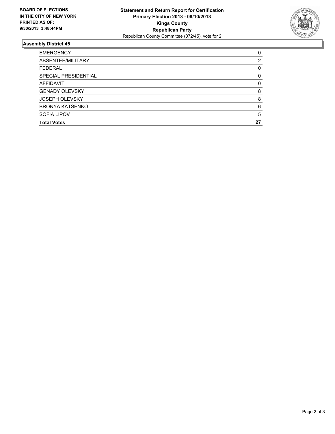

## **Assembly District 45**

| 0  |
|----|
| 2  |
| 0  |
| 0  |
| 0  |
| 8  |
| 8  |
| 6  |
| 5  |
| 27 |
|    |